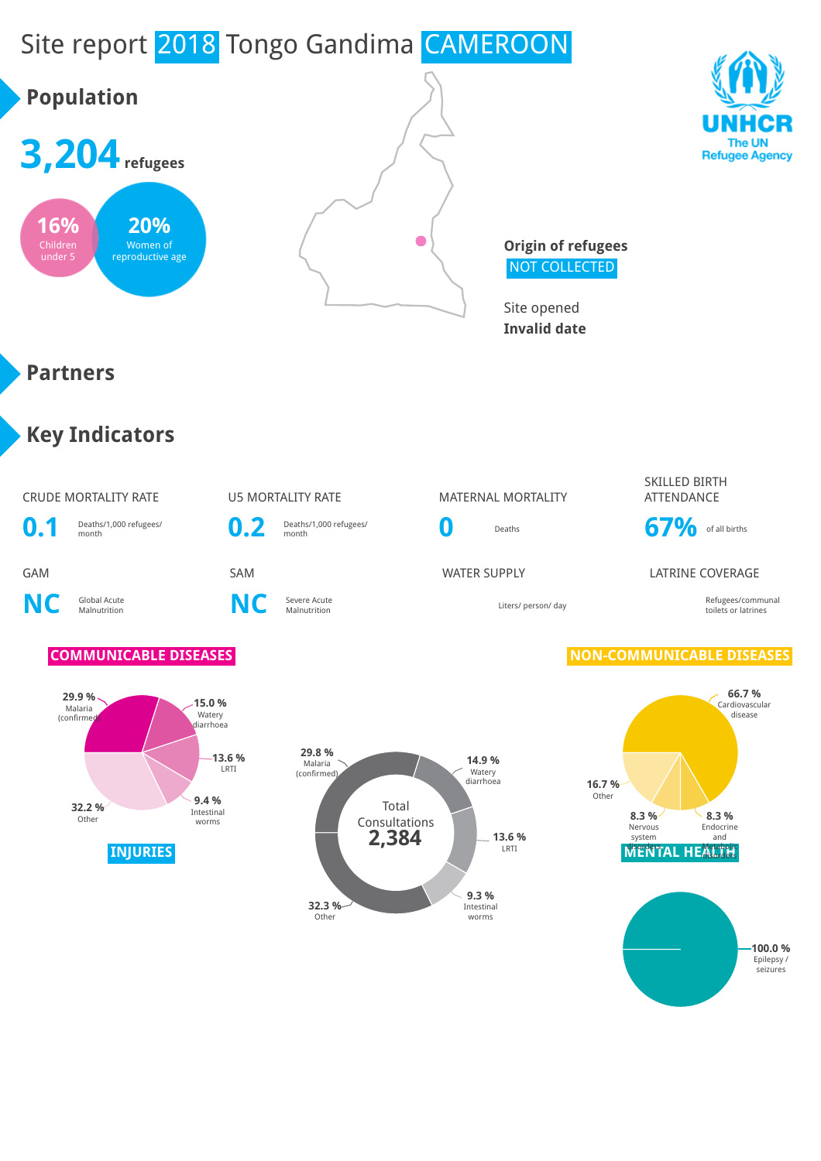

# **Population**







**Origin of refugees** NOT COLLECTED

Site opened **Invalid date**

### **Partners**

## **Key Indicators**

### CRUDE MORTALITY RATE **U5 MORTALITY RATE** MATERNAL MORTALITY



**NC** Global Acute

**C** Severe Acute<br>Malnutrition **NC** Severe Acute

**0.2** Deaths/1,000 refugees/





#### SKILLED BIRTH ATTENDANCE



#### GAM SAM SAM SAM WATER SUPPLY LATRINE COVERAGE

Malnutrition Liters/ person/ day Refugees/communal toilets or latrines

#### **COMMUNICABLE DISEASES NON-COMMUNICABLE DISEASES**

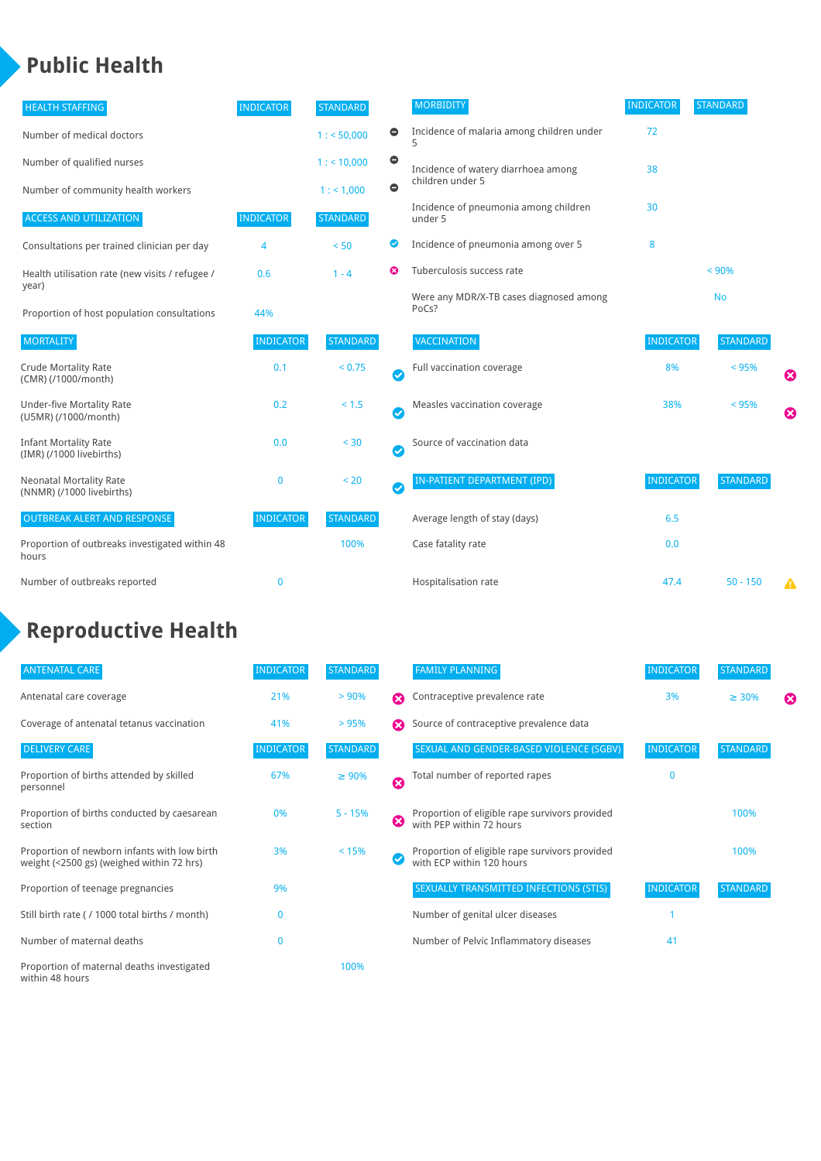## **Public Health**

| <b>HEALTH STAFFING</b>                                      | <b>INDICATOR</b> | <b>STANDARD</b> |           | <b>MORBIDITY</b>                                 | <b>INDICATOR</b> | <b>STANDARD</b> |   |
|-------------------------------------------------------------|------------------|-----------------|-----------|--------------------------------------------------|------------------|-----------------|---|
| Number of medical doctors                                   |                  | 1: 50,000       | $\bullet$ | Incidence of malaria among children under        | 72               |                 |   |
| Number of qualified nurses                                  |                  | $1:$ < 10,000   | $\bullet$ | Incidence of watery diarrhoea among              | 38               |                 |   |
| Number of community health workers                          |                  | 1:1,000         | $\bullet$ | children under 5                                 |                  |                 |   |
| <b>ACCESS AND UTILIZATION</b>                               | <b>INDICATOR</b> | <b>STANDARD</b> |           | Incidence of pneumonia among children<br>under 5 | 30               |                 |   |
| Consultations per trained clinician per day                 | 4                | < 50            | Ø         | Incidence of pneumonia among over 5              | 8                |                 |   |
| Health utilisation rate (new visits / refugee /             | 0.6              | $1 - 4$         | ೞ         | Tuberculosis success rate                        |                  | < 90%           |   |
| year)<br>Proportion of host population consultations        | 44%              |                 |           | Were any MDR/X-TB cases diagnosed among<br>PoCs? |                  | <b>No</b>       |   |
| <b>MORTALITY</b>                                            | <b>INDICATOR</b> | <b>STANDARD</b> |           | <b>VACCINATION</b>                               | <b>INDICATOR</b> | <b>STANDARD</b> |   |
| <b>Crude Mortality Rate</b><br>(CMR) (/1000/month)          | 0.1              | < 0.75          | Ø         | Full vaccination coverage                        | 8%               | < 95%           | ೞ |
| <b>Under-five Mortality Rate</b><br>(U5MR) (/1000/month)    | 0.2              | $< 1.5$         | Ø         | Measles vaccination coverage                     | 38%              | < 95%           | Ø |
| <b>Infant Mortality Rate</b><br>(IMR) (/1000 livebirths)    | 0.0              | $30$            | Ø         | Source of vaccination data                       |                  |                 |   |
| <b>Neonatal Mortality Rate</b><br>(NNMR) (/1000 livebirths) | 0                | < 20            | Ø         | IN-PATIENT DEPARTMENT (IPD)                      | <b>INDICATOR</b> | <b>STANDARD</b> |   |
| <b>OUTBREAK ALERT AND RESPONSE</b>                          | <b>INDICATOR</b> | <b>STANDARD</b> |           | Average length of stay (days)                    | 6.5              |                 |   |
| Proportion of outbreaks investigated within 48<br>hours     |                  | 100%            |           | Case fatality rate                               | 0.0              |                 |   |
| Number of outbreaks reported                                | 0                |                 |           | Hospitalisation rate                             | 47.4             | $50 - 150$      | Δ |

# **Reproductive Health**

| <b>ANTENATAL CARE</b>                                                                     | <b>INDICATOR</b> | <b>STANDARD</b> |   | <b>FAMILY PLANNING</b>                                                      | <b>INDICATOR</b> | <b>STANDARD</b> |   |
|-------------------------------------------------------------------------------------------|------------------|-----------------|---|-----------------------------------------------------------------------------|------------------|-----------------|---|
| Antenatal care coverage                                                                   | 21%              | > 90%           | Ω | Contraceptive prevalence rate                                               | 3%               | $\geq 30\%$     | ⊠ |
| Coverage of antenatal tetanus vaccination                                                 | 41%              | >95%            |   | Source of contraceptive prevalence data                                     |                  |                 |   |
| <b>DELIVERY CARE</b>                                                                      | <b>INDICATOR</b> | <b>STANDARD</b> |   | SEXUAL AND GENDER-BASED VIOLENCE (SGBV)                                     | <b>INDICATOR</b> | <b>STANDARD</b> |   |
| Proportion of births attended by skilled<br>personnel                                     | 67%              | $\geq 90\%$     | Ø | Total number of reported rapes                                              | $\mathbf{0}$     |                 |   |
| Proportion of births conducted by caesarean<br>section                                    | 0%               | $5 - 15%$       | ظ | Proportion of eligible rape survivors provided<br>with PEP within 72 hours  |                  | 100%            |   |
| Proportion of newborn infants with low birth<br>weight (<2500 gs) (weighed within 72 hrs) | 3%               | < 15%           |   | Proportion of eligible rape survivors provided<br>with ECP within 120 hours |                  | 100%            |   |
| Proportion of teenage pregnancies                                                         | 9%               |                 |   | SEXUALLY TRANSMITTED INFECTIONS (STIS)                                      | <b>INDICATOR</b> | <b>STANDARD</b> |   |
| Still birth rate (/ 1000 total births / month)                                            | $\Omega$         |                 |   | Number of genital ulcer diseases                                            |                  |                 |   |
| Number of maternal deaths                                                                 | $\mathbf{0}$     |                 |   | Number of Pelvic Inflammatory diseases                                      | 41               |                 |   |
| Proportion of maternal deaths investigated<br>within 48 hours                             |                  | 100%            |   |                                                                             |                  |                 |   |